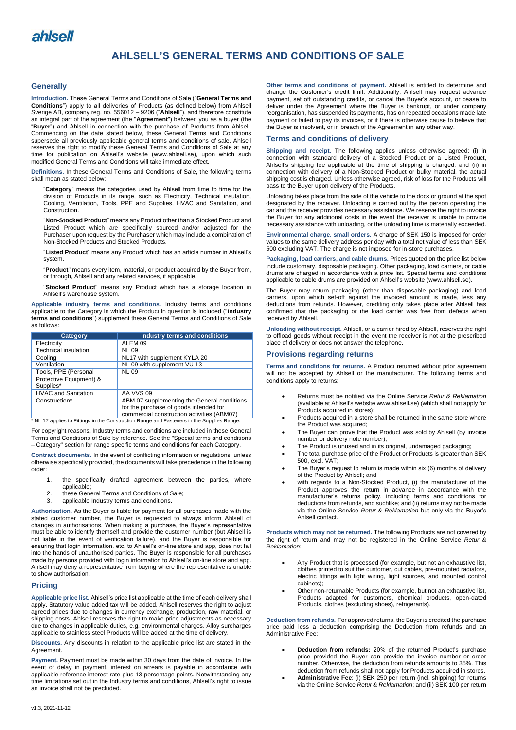

# **AHLSELL'S GENERAL TERMS AND CONDITIONS OF SALE**

#### **Generally**

**Introduction.** These General Terms and Conditions of Sale ("**General Terms and Conditions**") apply to all deliveries of Products (as defined below) from Ahlsell Sverige AB, company reg. no. 556012 – 9206 ("**Ahlsell**"), and therefore constitute an integral part of the agreement (the "**Agreement**") between you as a buyer (the "**Buyer**") and Ahlsell in connection with the purchase of Products from Ahlsell. Commencing on the date stated below, these General Terms and Conditions supersede all previously applicable general terms and conditions of sale. Ahlsell reserves the right to modify these General Terms and Conditions of Sale at any time for publication on Ahlsell's website (www.ahlsell.se), upon which such modified General Terms and Conditions will take immediate effect.

**Definitions.** In these General Terms and Conditions of Sale, the following terms shall mean as stated below:

"**Category**" means the categories used by Ahlsell from time to time for the division of Products in its range, such as Electricity, Technical insulation, Cooling, Ventilation, Tools, PPE and Supplies, HVAC and Sanitation, and **Construction** 

"**Non-Stocked Product**" means any Product other than a Stocked Product and Listed Product which are specifically sourced and/or adjusted for the Purchaser upon request by the Purchaser which may include a combination of Non-Stocked Products and Stocked Products.

"**Listed Product**" means any Product which has an article number in Ahlsell's system.

"**Product**" means every item, material, or product acquired by the Buyer from, or through, Ahlsell and any related services, if applicable.

"**Stocked Product**" means any Product which has a storage location in Ahlsell's warehouse system.

**Applicable industry terms and conditions.** Industry terms and conditions applicable to the Category in which the Product in question is included ("**Industry terms and conditions**") supplement these General Terms and Conditions of Sale as follows:

| Category                                                                                   | <b>Industry terms and conditions</b>        |
|--------------------------------------------------------------------------------------------|---------------------------------------------|
| Electricity                                                                                | ALEM <sub>09</sub>                          |
| <b>Technical insulation</b>                                                                | <b>NL 09</b>                                |
| Coolina                                                                                    | NL17 with supplement KYLA 20                |
| Ventilation                                                                                | NL 09 with supplement VU 13                 |
| Tools, PPE (Personal                                                                       | <b>NL 09</b>                                |
| Protective Equipment) &                                                                    |                                             |
| Supplies*                                                                                  |                                             |
| <b>HVAC and Sanitation</b>                                                                 | AA VVS 09                                   |
| Construction*                                                                              | ABM 07 supplementing the General conditions |
|                                                                                            | for the purchase of goods intended for      |
|                                                                                            | commercial construction activities (ABM07)  |
| * NL 17 applies to Fittings in the Construction Range and Fasteners in the Supplies Range. |                                             |

For copyright reasons, Industry terms and conditions are included in these General Terms and Conditions of Sale by reference. See the "Special terms and conditions – Category" section for range specific terms and conditions for each Category.

**Contract documents.** In the event of conflicting information or regulations, unless otherwise specifically provided, the documents will take precedence in the following order:

- 1. the specifically drafted agreement between the parties, where applicable;
- 2. these General Terms and Conditions of Sale;
- 3. applicable Industry terms and conditions.

**Authorisation.** As the Buyer is liable for payment for all purchases made with the stated customer number, the Buyer is requested to always inform Ahlsell of changes in authorisations. When making a purchase, the Buyer's representative must be able to identify themself and provide the customer number (but Ahlsell is not liable in the event of verification failure), and the Buyer is responsible for ensuring that login information, etc. to Ahlsell's on-line store and app, does not fall into the hands of unauthorised parties. The Buyer is responsible for all purchases made by persons provided with login information to Ahlsell's on-line store and app. Ahlsell may deny a representative from buying where the representative is unable to show authorisation.

# **Pricing**

**Applicable price list.** Ahlsell's price list applicable at the time of each delivery shall apply. Statutory value added tax will be added. Ahlsell reserves the right to adjust agreed prices due to changes in currency exchange, production, raw material, or shipping costs. Ahlsell reserves the right to make price adjustments as necessary due to changes in applicable duties, e.g. environmental charges. Alloy surcharges applicable to stainless steel Products will be added at the time of delivery.

**Discounts.** Any discounts in relation to the applicable price list are stated in the **Agreement** 

**Payment.** Payment must be made within 30 days from the date of invoice. In the event of delay in payment, interest on arrears is payable in accordance with applicable reference interest rate plus 13 percentage points. Notwithstanding any time limitations set out in the Industry terms and conditions, Ahlsell's right to issue an invoice shall not be precluded.

**Other terms and conditions of payment.** Ahlsell is entitled to determine and change the Customer's credit limit. Additionally, Ahlsell may request advance payment, set off outstanding credits, or cancel the Buyer's account, or cease to deliver under the Agreement where the Buyer is bankrupt, or under company reorganisation, has suspended its payments, has on repeated occasions made late payment or failed to pay its invoices, or if there is otherwise cause to believe that the Buyer is insolvent, or in breach of the Agreement in any other way.

# **Terms and conditions of delivery**

**Shipping and receipt.** The following applies unless otherwise agreed: (i) in connection with standard delivery of a Stocked Product or a Listed Product, Ahlsell's shipping fee applicable at the time of shipping is charged; and (ii) in connection with delivery of a Non-Stocked Product or bulky material, the actual shipping cost is charged. Unless otherwise agreed, risk of loss for the Products will pass to the Buyer upon delivery of the Products.

Unloading takes place from the side of the vehicle to the dock or ground at the spot designated by the receiver. Unloading is carried out by the person operating the car and the receiver provides necessary assistance. We reserve the right to invoice the Buyer for any additional costs in the event the receiver is unable to provide necessary assistance with unloading, or the unloading time is materially exceeded.

**Environmental charge, small orders.** A charge of SEK 150 is imposed for order values to the same delivery address per day with a total net value of less than SEK 500 excluding VAT. The charge is not imposed for in-store purchases.

**Packaging, load carriers, and cable drums.** Prices quoted on the price list below include customary, disposable packaging. Other packaging, load carriers, or cable drums are charged in accordance with a price list. Special terms and conditions applicable to cable drums are provided on Ahlsell's website (www.ahlsell.se).

The Buyer may return packaging (other than disposable packaging) and load carriers, upon which set-off against the invoiced amount is made, less any deductions from refunds. However, crediting only takes place after Ahlsell has confirmed that the packaging or the load carrier was free from defects when received by Ahlsell.

**Unloading without receipt.** Ahlsell, or a carrier hired by Ahlsell, reserves the right to offload goods without receipt in the event the receiver is not at the prescribed place of delivery or does not answer the telephone.

#### **Provisions regarding returns**

**Terms and conditions for returns.** A Product returned without prior agreement will not be accepted by Ahlsell or the manufacturer. The following terms and conditions apply to returns:

- Returns must be notified via the Online Service *Retur & Reklamation*  (available at Ahlsell's website www.ahlsell.se) (which shall not apply for Products acquired in stores);
- Products acquired in a store shall be returned in the same store where the Product was acquired;
- The Buyer can prove that the Product was sold by Ahlsell (by invoice number or delivery note number);
- The Product is unused and in its original, undamaged packaging;
- The total purchase price of the Product or Products is greater than SEK 500, excl. VAT;
- The Buyer's request to return is made within six (6) months of delivery of the Product by Ahlsell; and
- with regards to a Non-Stocked Product, (i) the manufacturer of the Product approves the return in advance in accordance with the manufacturer's returns policy, including terms and conditions for deductions from refunds, and suchlike; and (ii) returns may not be made via the Online Service *Retur & Reklamation* but only via the Buyer's Ahlsell contact.

**Products which may not be returned.** The following Products are not covered by the right of return and may not be registered in the Online Service *Retur & Reklamation*:

- Any Product that is processed (for example, but not an exhaustive list, clothes printed to suit the customer, cut cables, pre-mounted radiators, electric fittings with light wiring, light sources, and mounted control cabinets);
- Other non-returnable Products (for example, but not an exhaustive list, Products adapted for customers, chemical products, open-dated Products, clothes (excluding shoes), refrigerants).

**Deduction from refunds.** For approved returns, the Buyer is credited the purchase price paid less a deduction comprising the Deduction from refunds and an Administrative Fee:

- **Deduction from refunds:** 20% of the returned Product's purchase price provided the Buyer can provide the invoice number or order number. Otherwise, the deduction from refunds amounts to 35%. This deduction from refunds shall not apply for Products acquired in stores.
- **Administrative Fee**: (i) SEK 250 per return (incl. shipping) for returns via the Online Service *Retur & Reklamation*; and (ii) SEK 100 per return